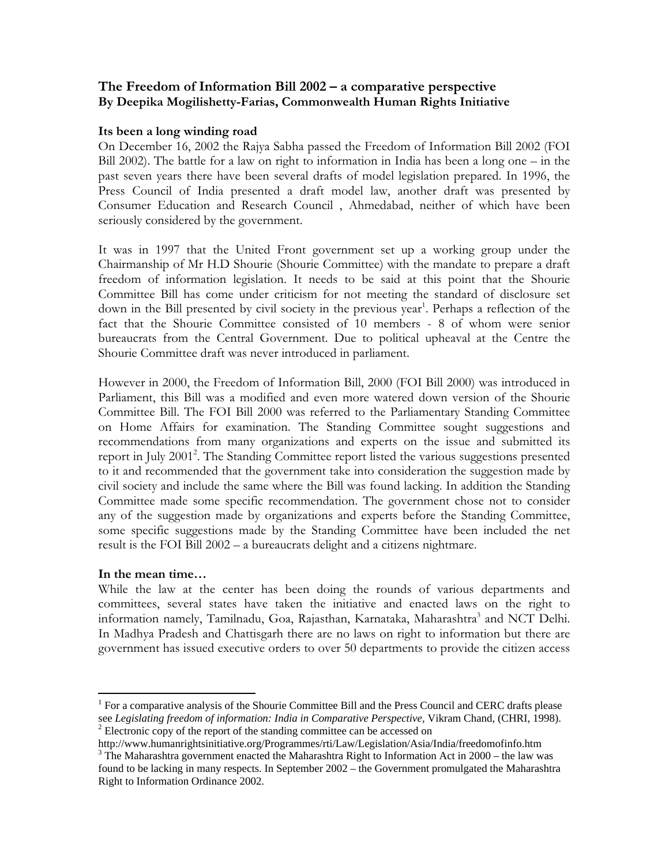# The Freedom of Information Bill 2002 – a comparative perspective By Deepika Mogilishetty-Farias, Commonwealth Human Rights Initiative

## Its been a long winding road

On December 16, 2002 the Rajya Sabha passed the Freedom of Information Bill 2002 (FOI Bill 2002). The battle for a law on right to information in India has been a long one – in the past seven years there have been several drafts of model legislation prepared. In 1996, the Press Council of India presented a draft model law, another draft was presented by Consumer Education and Research Council , Ahmedabad, neither of which have been seriously considered by the government.

It was in 1997 that the United Front government set up a working group under the Chairmanship of Mr H.D Shourie (Shourie Committee) with the mandate to prepare a draft freedom of information legislation. It needs to be said at this point that the Shourie Committee Bill has come under criticism for not meeting the standard of disclosure set down in the Bill presented by civil society in the previous year<sup>1</sup>. Perhaps a reflection of the fact that the Shourie Committee consisted of 10 members - 8 of whom were senior bureaucrats from the Central Government. Due to political upheaval at the Centre the Shourie Committee draft was never introduced in parliament.

However in 2000, the Freedom of Information Bill, 2000 (FOI Bill 2000) was introduced in Parliament, this Bill was a modified and even more watered down version of the Shourie Committee Bill. The FOI Bill 2000 was referred to the Parliamentary Standing Committee on Home Affairs for examination. The Standing Committee sought suggestions and recommendations from many organizations and experts on the issue and submitted its report in July 2001<sup>2</sup>. The Standing Committee report listed the various suggestions presented to it and recommended that the government take into consideration the suggestion made by civil society and include the same where the Bill was found lacking. In addition the Standing Committee made some specific recommendation. The government chose not to consider any of the suggestion made by organizations and experts before the Standing Committee, some specific suggestions made by the Standing Committee have been included the net result is the FOI Bill 2002 – a bureaucrats delight and a citizens nightmare.

# In the mean time…

<u>.</u>

While the law at the center has been doing the rounds of various departments and committees, several states have taken the initiative and enacted laws on the right to information namely, Tamilnadu, Goa, Rajasthan, Karnataka, Maharashtra<sup>3</sup> and NCT Delhi. In Madhya Pradesh and Chattisgarh there are no laws on right to information but there are government has issued executive orders to over 50 departments to provide the citizen access

<sup>&</sup>lt;sup>1</sup> For a comparative analysis of the Shourie Committee Bill and the Press Council and CERC drafts please see *Legislating freedom of information: India in Comparative Perspective, Vikram Chand, (CHRI, 1998).*  $2$  Electronic copy of the report of the standing committee can be accessed on

http://www.humanrightsinitiative.org/Programmes/rti/Law/Legislation/Asia/India/freedomofinfo.htm  $3$  The Maharashtra government enacted the Maharashtra Right to Information Act in 2000 – the law was

found to be lacking in many respects. In September 2002 – the Government promulgated the Maharashtra Right to Information Ordinance 2002.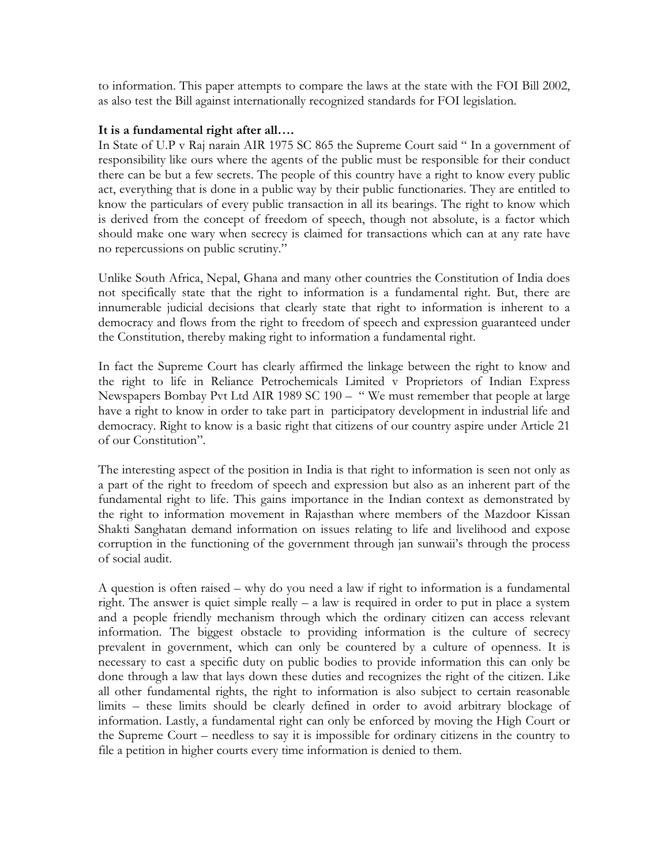to information. This paper attempts to compare the laws at the state with the FOI Bill 2002, as also test the Bill against internationally recognized standards for FOI legislation.

## It is a fundamental right after all….

In State of U.P v Raj narain AIR 1975 SC 865 the Supreme Court said " In a government of responsibility like ours where the agents of the public must be responsible for their conduct there can be but a few secrets. The people of this country have a right to know every public act, everything that is done in a public way by their public functionaries. They are entitled to know the particulars of every public transaction in all its bearings. The right to know which is derived from the concept of freedom of speech, though not absolute, is a factor which should make one wary when secrecy is claimed for transactions which can at any rate have no repercussions on public scrutiny."

Unlike South Africa, Nepal, Ghana and many other countries the Constitution of India does not specifically state that the right to information is a fundamental right. But, there are innumerable judicial decisions that clearly state that right to information is inherent to a democracy and flows from the right to freedom of speech and expression guaranteed under the Constitution, thereby making right to information a fundamental right.

In fact the Supreme Court has clearly affirmed the linkage between the right to know and the right to life in Reliance Petrochemicals Limited v Proprietors of Indian Express Newspapers Bombay Pvt Ltd AIR 1989 SC 190 – " We must remember that people at large have a right to know in order to take part in participatory development in industrial life and democracy. Right to know is a basic right that citizens of our country aspire under Article 21 of our Constitution".

The interesting aspect of the position in India is that right to information is seen not only as a part of the right to freedom of speech and expression but also as an inherent part of the fundamental right to life. This gains importance in the Indian context as demonstrated by the right to information movement in Rajasthan where members of the Mazdoor Kissan Shakti Sanghatan demand information on issues relating to life and livelihood and expose corruption in the functioning of the government through jan sunwaii's through the process of social audit.

A question is often raised – why do you need a law if right to information is a fundamental right. The answer is quiet simple really  $- a$  law is required in order to put in place a system and a people friendly mechanism through which the ordinary citizen can access relevant information. The biggest obstacle to providing information is the culture of secrecy prevalent in government, which can only be countered by a culture of openness. It is necessary to cast a specific duty on public bodies to provide information this can only be done through a law that lays down these duties and recognizes the right of the citizen. Like all other fundamental rights, the right to information is also subject to certain reasonable limits – these limits should be clearly defined in order to avoid arbitrary blockage of information. Lastly, a fundamental right can only be enforced by moving the High Court or the Supreme Court – needless to say it is impossible for ordinary citizens in the country to file a petition in higher courts every time information is denied to them.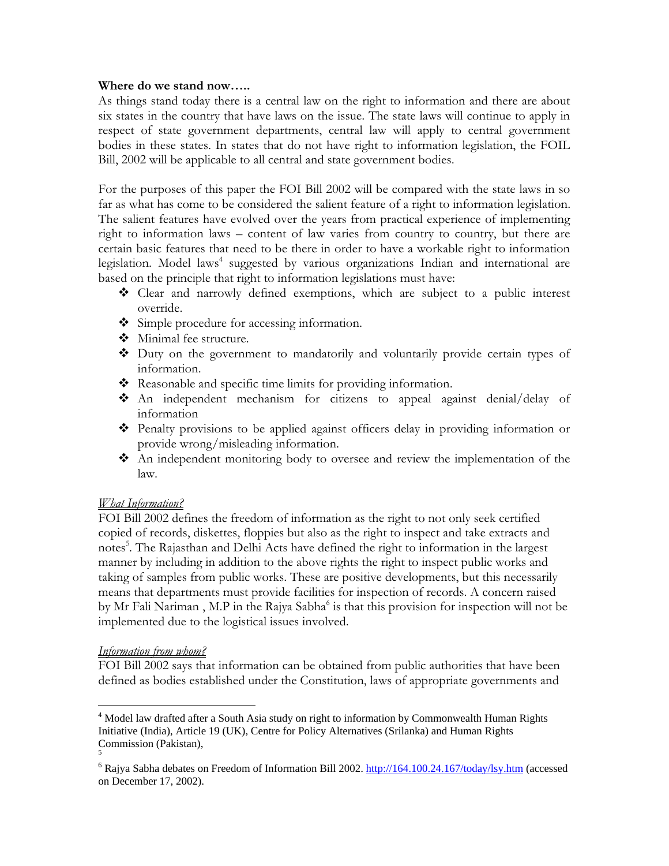## Where do we stand now…..

As things stand today there is a central law on the right to information and there are about six states in the country that have laws on the issue. The state laws will continue to apply in respect of state government departments, central law will apply to central government bodies in these states. In states that do not have right to information legislation, the FOIL Bill, 2002 will be applicable to all central and state government bodies.

For the purposes of this paper the FOI Bill 2002 will be compared with the state laws in so far as what has come to be considered the salient feature of a right to information legislation. The salient features have evolved over the years from practical experience of implementing right to information laws – content of law varies from country to country, but there are certain basic features that need to be there in order to have a workable right to information legislation. Model laws<sup>4</sup> suggested by various organizations Indian and international are based on the principle that right to information legislations must have:

- Clear and narrowly defined exemptions, which are subject to a public interest override.
- $\triangleleft$  Simple procedure for accessing information.
- Minimal fee structure.
- Duty on the government to mandatorily and voluntarily provide certain types of information.
- Reasonable and specific time limits for providing information.
- $\hat{\mathbf{\cdot}}$  An independent mechanism for citizens to appeal against denial/delay of information
- Penalty provisions to be applied against officers delay in providing information or provide wrong/misleading information.
- An independent monitoring body to oversee and review the implementation of the law.

# What Information?

FOI Bill 2002 defines the freedom of information as the right to not only seek certified copied of records, diskettes, floppies but also as the right to inspect and take extracts and notes<sup>5</sup>. The Rajasthan and Delhi Acts have defined the right to information in the largest manner by including in addition to the above rights the right to inspect public works and taking of samples from public works. These are positive developments, but this necessarily means that departments must provide facilities for inspection of records. A concern raised by Mr Fali Nariman, M.P in the Rajya Sabha<sup>6</sup> is that this provision for inspection will not be implemented due to the logistical issues involved.

# Information from whom?

FOI Bill 2002 says that information can be obtained from public authorities that have been defined as bodies established under the Constitution, laws of appropriate governments and

<sup>&</sup>lt;u>.</u> <sup>4</sup> Model law drafted after a South Asia study on right to information by Commonwealth Human Rights Initiative (India), Article 19 (UK), Centre for Policy Alternatives (Srilanka) and Human Rights Commission (Pakistan), 5

<sup>&</sup>lt;sup>6</sup> Rajya Sabha debates on Freedom of Information Bill 2002. http://164.100.24.167/today/lsy.htm (accessed on December 17, 2002).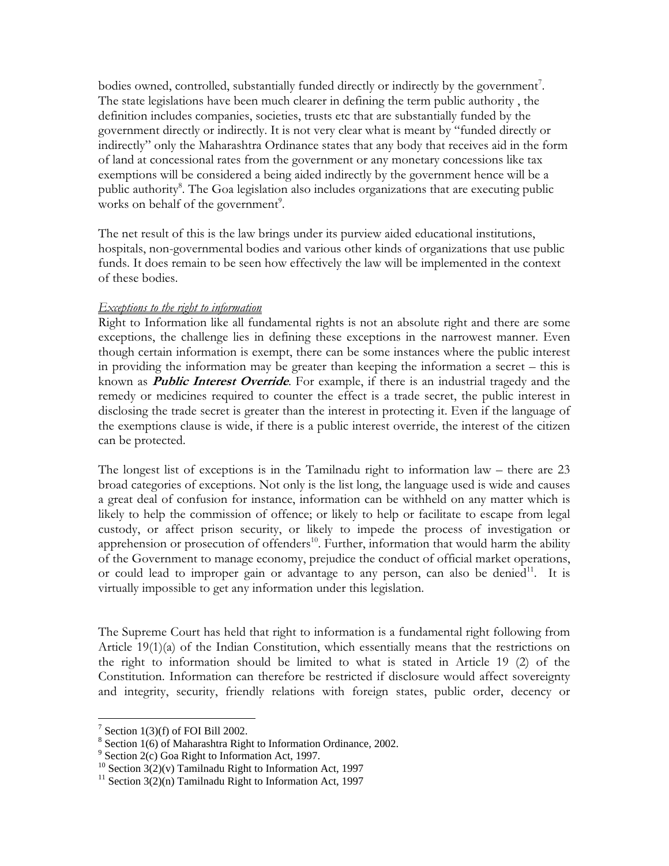bodies owned, controlled, substantially funded directly or indirectly by the government<sup>7</sup>. The state legislations have been much clearer in defining the term public authority , the definition includes companies, societies, trusts etc that are substantially funded by the government directly or indirectly. It is not very clear what is meant by "funded directly or indirectly" only the Maharashtra Ordinance states that any body that receives aid in the form of land at concessional rates from the government or any monetary concessions like tax exemptions will be considered a being aided indirectly by the government hence will be a public authority<sup>8</sup>. The Goa legislation also includes organizations that are executing public works on behalf of the government<sup>9</sup>.

The net result of this is the law brings under its purview aided educational institutions, hospitals, non-governmental bodies and various other kinds of organizations that use public funds. It does remain to be seen how effectively the law will be implemented in the context of these bodies.

### Exceptions to the right to information

Right to Information like all fundamental rights is not an absolute right and there are some exceptions, the challenge lies in defining these exceptions in the narrowest manner. Even though certain information is exempt, there can be some instances where the public interest in providing the information may be greater than keeping the information a secret – this is known as **Public Interest Override**. For example, if there is an industrial tragedy and the remedy or medicines required to counter the effect is a trade secret, the public interest in disclosing the trade secret is greater than the interest in protecting it. Even if the language of the exemptions clause is wide, if there is a public interest override, the interest of the citizen can be protected.

The longest list of exceptions is in the Tamilnadu right to information law – there are 23 broad categories of exceptions. Not only is the list long, the language used is wide and causes a great deal of confusion for instance, information can be withheld on any matter which is likely to help the commission of offence; or likely to help or facilitate to escape from legal custody, or affect prison security, or likely to impede the process of investigation or apprehension or prosecution of offenders<sup>10</sup>. Further, information that would harm the ability of the Government to manage economy, prejudice the conduct of official market operations, or could lead to improper gain or advantage to any person, can also be denied<sup>11</sup>. It is virtually impossible to get any information under this legislation.

The Supreme Court has held that right to information is a fundamental right following from Article 19(1)(a) of the Indian Constitution, which essentially means that the restrictions on the right to information should be limited to what is stated in Article 19 (2) of the Constitution. Information can therefore be restricted if disclosure would affect sovereignty and integrity, security, friendly relations with foreign states, public order, decency or

<u>.</u>

<sup>&</sup>lt;sup>7</sup> Section 1(3)(f) of FOI Bill 2002.

 $8$  Section 1(6) of Maharashtra Right to Information Ordinance, 2002.

<sup>&</sup>lt;sup>9</sup> Section 2(c) Goa Right to Information Act, 1997.

<sup>&</sup>lt;sup>10</sup> Section  $3(2)(v)$  Tamilnadu Right to Information Act, 1997

 $11$  Section 3(2)(n) Tamilnadu Right to Information Act, 1997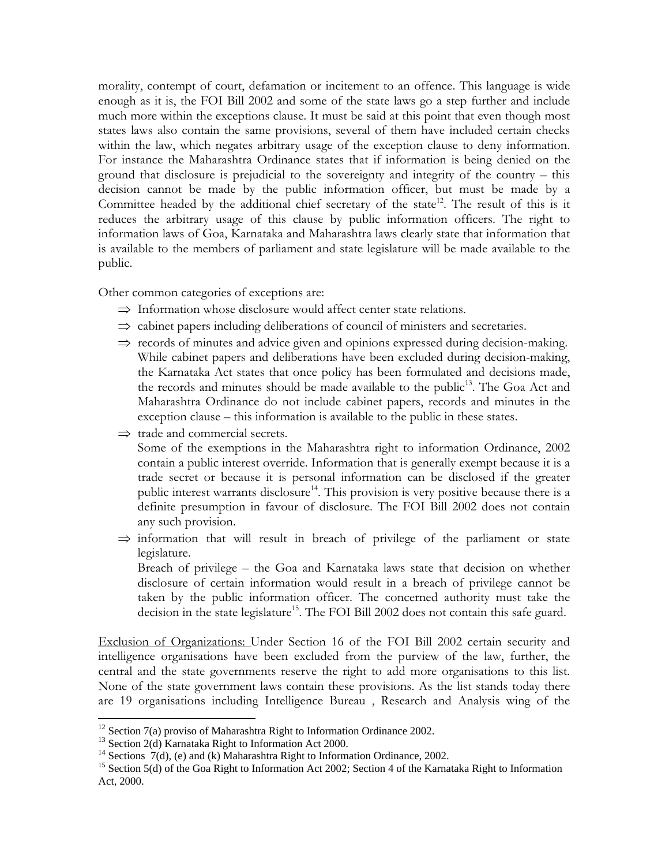morality, contempt of court, defamation or incitement to an offence. This language is wide enough as it is, the FOI Bill 2002 and some of the state laws go a step further and include much more within the exceptions clause. It must be said at this point that even though most states laws also contain the same provisions, several of them have included certain checks within the law, which negates arbitrary usage of the exception clause to deny information. For instance the Maharashtra Ordinance states that if information is being denied on the ground that disclosure is prejudicial to the sovereignty and integrity of the country – this decision cannot be made by the public information officer, but must be made by a Committee headed by the additional chief secretary of the state<sup>12</sup>. The result of this is it reduces the arbitrary usage of this clause by public information officers. The right to information laws of Goa, Karnataka and Maharashtra laws clearly state that information that is available to the members of parliament and state legislature will be made available to the public.

Other common categories of exceptions are:

- ⇒ Information whose disclosure would affect center state relations.
- ⇒ cabinet papers including deliberations of council of ministers and secretaries.
- ⇒ records of minutes and advice given and opinions expressed during decision-making. While cabinet papers and deliberations have been excluded during decision-making, the Karnataka Act states that once policy has been formulated and decisions made, the records and minutes should be made available to the public<sup>13</sup>. The Goa Act and Maharashtra Ordinance do not include cabinet papers, records and minutes in the exception clause – this information is available to the public in these states.
- $\Rightarrow$  trade and commercial secrets.

Some of the exemptions in the Maharashtra right to information Ordinance, 2002 contain a public interest override. Information that is generally exempt because it is a trade secret or because it is personal information can be disclosed if the greater public interest warrants disclosure<sup>14</sup>. This provision is very positive because there is a definite presumption in favour of disclosure. The FOI Bill 2002 does not contain any such provision.

 $\Rightarrow$  information that will result in breach of privilege of the parliament or state legislature. Breach of privilege – the Goa and Karnataka laws state that decision on whether

disclosure of certain information would result in a breach of privilege cannot be taken by the public information officer. The concerned authority must take the decision in the state legislature<sup>15</sup>. The FOI Bill 2002 does not contain this safe guard.

Exclusion of Organizations: Under Section 16 of the FOI Bill 2002 certain security and intelligence organisations have been excluded from the purview of the law, further, the central and the state governments reserve the right to add more organisations to this list. None of the state government laws contain these provisions. As the list stands today there are 19 organisations including Intelligence Bureau , Research and Analysis wing of the

<u>.</u>

 $12$  Section 7(a) proviso of Maharashtra Right to Information Ordinance 2002.

<sup>&</sup>lt;sup>13</sup> Section 2(d) Karnataka Right to Information Act 2000.

<sup>&</sup>lt;sup>14</sup> Sections  $7(d)$ , (e) and (k) Maharashtra Right to Information Ordinance, 2002.

<sup>&</sup>lt;sup>15</sup> Section 5(d) of the Goa Right to Information Act 2002; Section 4 of the Karnataka Right to Information Act, 2000.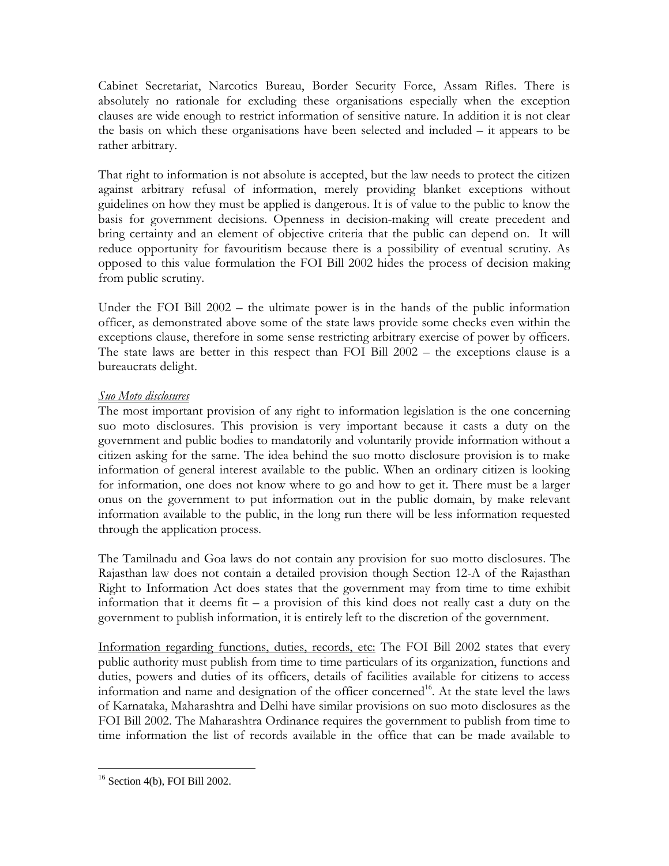Cabinet Secretariat, Narcotics Bureau, Border Security Force, Assam Rifles. There is absolutely no rationale for excluding these organisations especially when the exception clauses are wide enough to restrict information of sensitive nature. In addition it is not clear the basis on which these organisations have been selected and included – it appears to be rather arbitrary.

That right to information is not absolute is accepted, but the law needs to protect the citizen against arbitrary refusal of information, merely providing blanket exceptions without guidelines on how they must be applied is dangerous. It is of value to the public to know the basis for government decisions. Openness in decision-making will create precedent and bring certainty and an element of objective criteria that the public can depend on. It will reduce opportunity for favouritism because there is a possibility of eventual scrutiny. As opposed to this value formulation the FOI Bill 2002 hides the process of decision making from public scrutiny.

Under the FOI Bill 2002 – the ultimate power is in the hands of the public information officer, as demonstrated above some of the state laws provide some checks even within the exceptions clause, therefore in some sense restricting arbitrary exercise of power by officers. The state laws are better in this respect than FOI Bill 2002 – the exceptions clause is a bureaucrats delight.

# Suo Moto disclosures

The most important provision of any right to information legislation is the one concerning suo moto disclosures. This provision is very important because it casts a duty on the government and public bodies to mandatorily and voluntarily provide information without a citizen asking for the same. The idea behind the suo motto disclosure provision is to make information of general interest available to the public. When an ordinary citizen is looking for information, one does not know where to go and how to get it. There must be a larger onus on the government to put information out in the public domain, by make relevant information available to the public, in the long run there will be less information requested through the application process.

The Tamilnadu and Goa laws do not contain any provision for suo motto disclosures. The Rajasthan law does not contain a detailed provision though Section 12-A of the Rajasthan Right to Information Act does states that the government may from time to time exhibit information that it deems fit – a provision of this kind does not really cast a duty on the government to publish information, it is entirely left to the discretion of the government.

Information regarding functions, duties, records, etc: The FOI Bill 2002 states that every public authority must publish from time to time particulars of its organization, functions and duties, powers and duties of its officers, details of facilities available for citizens to access information and name and designation of the officer concerned<sup>16</sup>. At the state level the laws of Karnataka, Maharashtra and Delhi have similar provisions on suo moto disclosures as the FOI Bill 2002. The Maharashtra Ordinance requires the government to publish from time to time information the list of records available in the office that can be made available to

<sup>&</sup>lt;u>.</u>  $16$  Section 4(b), FOI Bill 2002.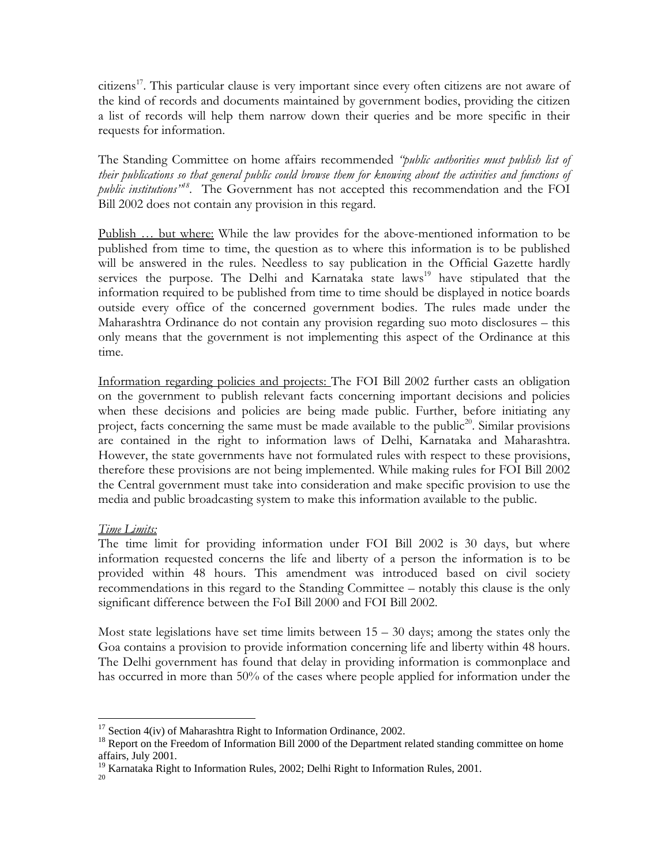citizens<sup>17</sup>. This particular clause is very important since every often citizens are not aware of the kind of records and documents maintained by government bodies, providing the citizen a list of records will help them narrow down their queries and be more specific in their requests for information.

The Standing Committee on home affairs recommended "*public authorities must publish list of* their publications so that general public could browse them for knowing about the activities and functions of public institutions"<sup>18</sup>. The Government has not accepted this recommendation and the FOI Bill 2002 does not contain any provision in this regard.

Publish … but where: While the law provides for the above-mentioned information to be published from time to time, the question as to where this information is to be published will be answered in the rules. Needless to say publication in the Official Gazette hardly services the purpose. The Delhi and Karnataka state laws<sup>19</sup> have stipulated that the information required to be published from time to time should be displayed in notice boards outside every office of the concerned government bodies. The rules made under the Maharashtra Ordinance do not contain any provision regarding suo moto disclosures – this only means that the government is not implementing this aspect of the Ordinance at this time.

Information regarding policies and projects: The FOI Bill 2002 further casts an obligation on the government to publish relevant facts concerning important decisions and policies when these decisions and policies are being made public. Further, before initiating any project, facts concerning the same must be made available to the public<sup>20</sup>. Similar provisions are contained in the right to information laws of Delhi, Karnataka and Maharashtra. However, the state governments have not formulated rules with respect to these provisions, therefore these provisions are not being implemented. While making rules for FOI Bill 2002 the Central government must take into consideration and make specific provision to use the media and public broadcasting system to make this information available to the public.

### Time Limits:

The time limit for providing information under FOI Bill 2002 is 30 days, but where information requested concerns the life and liberty of a person the information is to be provided within 48 hours. This amendment was introduced based on civil society recommendations in this regard to the Standing Committee – notably this clause is the only significant difference between the FoI Bill 2000 and FOI Bill 2002.

Most state legislations have set time limits between  $15 - 30$  days; among the states only the Goa contains a provision to provide information concerning life and liberty within 48 hours. The Delhi government has found that delay in providing information is commonplace and has occurred in more than 50% of the cases where people applied for information under the

<sup>&</sup>lt;u>.</u>  $17$  Section 4(iv) of Maharashtra Right to Information Ordinance, 2002.

<sup>&</sup>lt;sup>18</sup> Report on the Freedom of Information Bill 2000 of the Department related standing committee on home affairs, July 2001.

<sup>&</sup>lt;sup>19</sup> Karnataka Right to Information Rules, 2002; Delhi Right to Information Rules, 2001. 20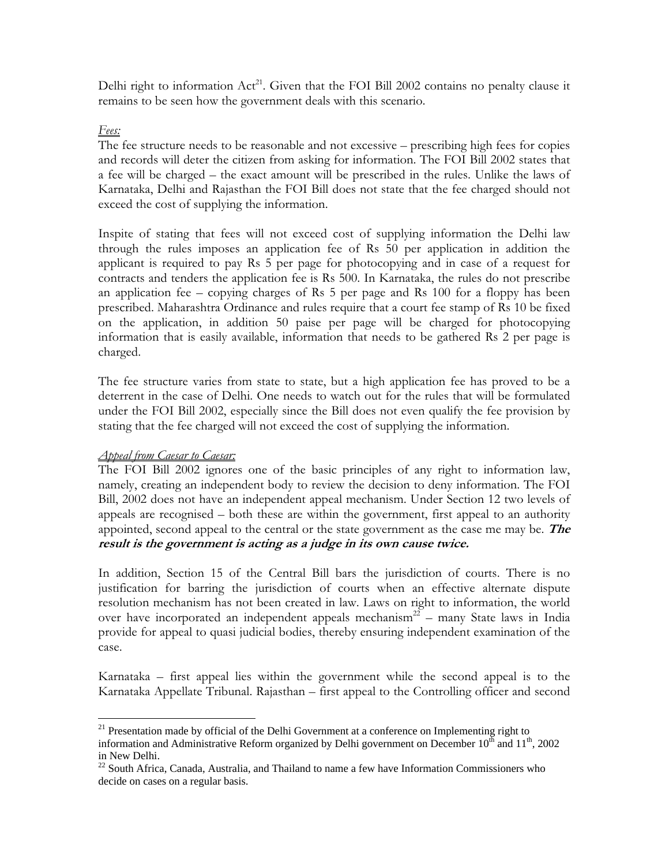Delhi right to information Act<sup>21</sup>. Given that the FOI Bill 2002 contains no penalty clause it remains to be seen how the government deals with this scenario.

# Fees:

The fee structure needs to be reasonable and not excessive – prescribing high fees for copies and records will deter the citizen from asking for information. The FOI Bill 2002 states that a fee will be charged – the exact amount will be prescribed in the rules. Unlike the laws of Karnataka, Delhi and Rajasthan the FOI Bill does not state that the fee charged should not exceed the cost of supplying the information.

Inspite of stating that fees will not exceed cost of supplying information the Delhi law through the rules imposes an application fee of Rs 50 per application in addition the applicant is required to pay Rs 5 per page for photocopying and in case of a request for contracts and tenders the application fee is Rs 500. In Karnataka, the rules do not prescribe an application fee – copying charges of Rs 5 per page and Rs 100 for a floppy has been prescribed. Maharashtra Ordinance and rules require that a court fee stamp of Rs 10 be fixed on the application, in addition 50 paise per page will be charged for photocopying information that is easily available, information that needs to be gathered Rs 2 per page is charged.

The fee structure varies from state to state, but a high application fee has proved to be a deterrent in the case of Delhi. One needs to watch out for the rules that will be formulated under the FOI Bill 2002, especially since the Bill does not even qualify the fee provision by stating that the fee charged will not exceed the cost of supplying the information.

# Appeal from Caesar to Caesar:

<u>.</u>

The FOI Bill 2002 ignores one of the basic principles of any right to information law, namely, creating an independent body to review the decision to deny information. The FOI Bill, 2002 does not have an independent appeal mechanism. Under Section 12 two levels of appeals are recognised – both these are within the government, first appeal to an authority appointed, second appeal to the central or the state government as the case me may be. The result is the government is acting as a judge in its own cause twice.

In addition, Section 15 of the Central Bill bars the jurisdiction of courts. There is no justification for barring the jurisdiction of courts when an effective alternate dispute resolution mechanism has not been created in law. Laws on right to information, the world over have incorporated an independent appeals mechanism<sup>22</sup> – many State laws in India provide for appeal to quasi judicial bodies, thereby ensuring independent examination of the case.

Karnataka – first appeal lies within the government while the second appeal is to the Karnataka Appellate Tribunal. Rajasthan – first appeal to the Controlling officer and second

<sup>&</sup>lt;sup>21</sup> Presentation made by official of the Delhi Government at a conference on Implementing right to information and Administrative Reform organized by Delhi government on December  $10^{th}$  and  $11^{th}$ , 2002 in New Delhi.

<sup>&</sup>lt;sup>22</sup> South Africa, Canada, Australia, and Thailand to name a few have Information Commissioners who decide on cases on a regular basis.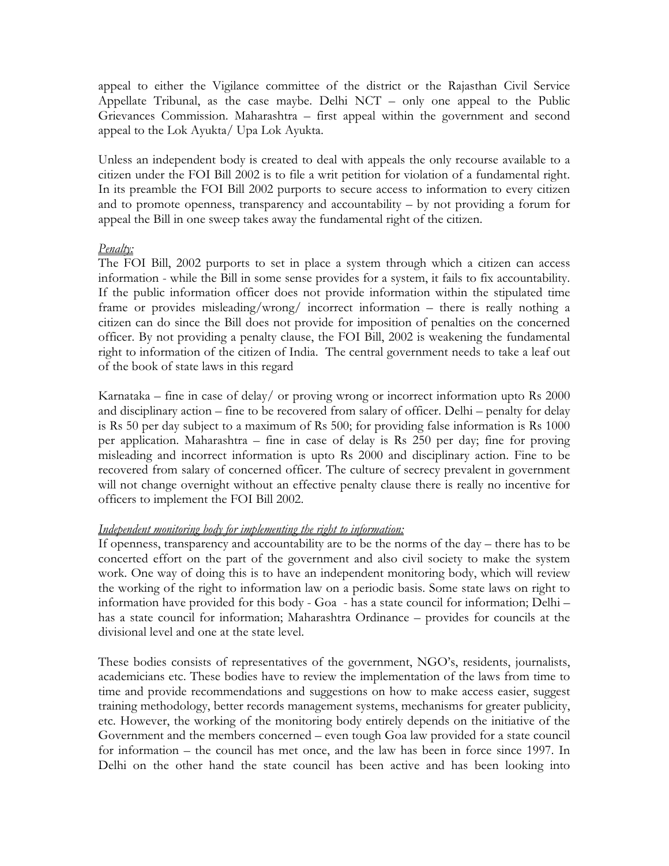appeal to either the Vigilance committee of the district or the Rajasthan Civil Service Appellate Tribunal, as the case maybe. Delhi NCT – only one appeal to the Public Grievances Commission. Maharashtra – first appeal within the government and second appeal to the Lok Ayukta/ Upa Lok Ayukta.

Unless an independent body is created to deal with appeals the only recourse available to a citizen under the FOI Bill 2002 is to file a writ petition for violation of a fundamental right. In its preamble the FOI Bill 2002 purports to secure access to information to every citizen and to promote openness, transparency and accountability – by not providing a forum for appeal the Bill in one sweep takes away the fundamental right of the citizen.

### Penalty:

The FOI Bill, 2002 purports to set in place a system through which a citizen can access information - while the Bill in some sense provides for a system, it fails to fix accountability. If the public information officer does not provide information within the stipulated time frame or provides misleading/wrong/ incorrect information – there is really nothing a citizen can do since the Bill does not provide for imposition of penalties on the concerned officer. By not providing a penalty clause, the FOI Bill, 2002 is weakening the fundamental right to information of the citizen of India. The central government needs to take a leaf out of the book of state laws in this regard

Karnataka – fine in case of delay/ or proving wrong or incorrect information upto Rs 2000 and disciplinary action – fine to be recovered from salary of officer. Delhi – penalty for delay is Rs 50 per day subject to a maximum of Rs 500; for providing false information is Rs 1000 per application. Maharashtra – fine in case of delay is Rs 250 per day; fine for proving misleading and incorrect information is upto Rs 2000 and disciplinary action. Fine to be recovered from salary of concerned officer. The culture of secrecy prevalent in government will not change overnight without an effective penalty clause there is really no incentive for officers to implement the FOI Bill 2002.

### Independent monitoring body for implementing the right to information:

If openness, transparency and accountability are to be the norms of the day – there has to be concerted effort on the part of the government and also civil society to make the system work. One way of doing this is to have an independent monitoring body, which will review the working of the right to information law on a periodic basis. Some state laws on right to information have provided for this body - Goa - has a state council for information; Delhi – has a state council for information; Maharashtra Ordinance – provides for councils at the divisional level and one at the state level.

These bodies consists of representatives of the government, NGO's, residents, journalists, academicians etc. These bodies have to review the implementation of the laws from time to time and provide recommendations and suggestions on how to make access easier, suggest training methodology, better records management systems, mechanisms for greater publicity, etc. However, the working of the monitoring body entirely depends on the initiative of the Government and the members concerned – even tough Goa law provided for a state council for information – the council has met once, and the law has been in force since 1997. In Delhi on the other hand the state council has been active and has been looking into